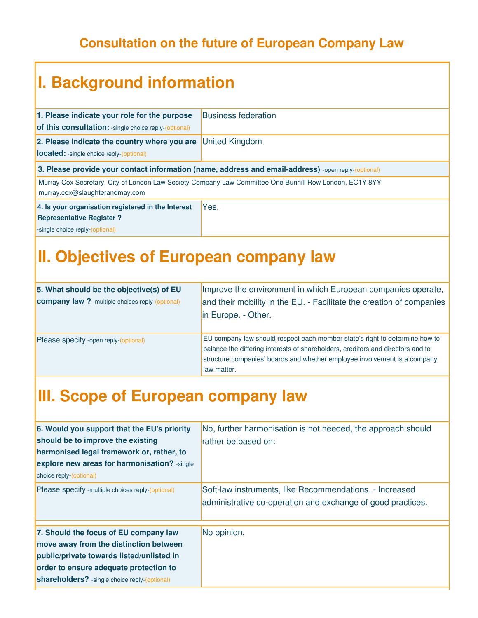#### **Consultation on the future of European Company Law**

# **I. Background information**

| 1. Please indicate your role for the purpose                                                                                              | <b>Business federation</b> |
|-------------------------------------------------------------------------------------------------------------------------------------------|----------------------------|
| of this consultation: -single choice reply-(optional)                                                                                     |                            |
| 2. Please indicate the country where you are                                                                                              | <b>United Kingdom</b>      |
| <b>located:</b> -single choice reply-(optional)                                                                                           |                            |
| 3. Please provide your contact information (name, address and email-address) -open reply-(optional)                                       |                            |
| Murray Cox Secretary, City of London Law Society Company Law Committee One Bunhill Row London, EC1Y 8YY<br>murray.cox@slaughterandmay.com |                            |
| Yes.<br>4. Is your organisation registered in the Interest                                                                                |                            |
| <b>Representative Register?</b>                                                                                                           |                            |
| -single choice reply-(optional)                                                                                                           |                            |

#### **II. Objectives of European company law**

| 5. What should be the objective(s) of EU               | Improve the environment in which European companies operate,                    |
|--------------------------------------------------------|---------------------------------------------------------------------------------|
| <b>company law?</b> -multiple choices reply-(optional) | and their mobility in the EU. - Facilitate the creation of companies            |
|                                                        | In Europe. - Other.                                                             |
|                                                        |                                                                                 |
| Please specify -open reply-(optional)                  | EU company law should respect each member state's right to determine how to     |
|                                                        | balance the differing interests of shareholders, creditors and directors and to |
|                                                        | structure companies' boards and whether employee involvement is a company       |
|                                                        | law matter.                                                                     |

#### **III. Scope of European company law**

| 6. Would you support that the EU's priority<br>should be to improve the existing<br>harmonised legal framework or, rather, to<br>explore new areas for harmonisation? -single<br>choice reply-(optional)                       | No, further harmonisation is not needed, the approach should<br>rather be based on:                                    |
|--------------------------------------------------------------------------------------------------------------------------------------------------------------------------------------------------------------------------------|------------------------------------------------------------------------------------------------------------------------|
| Please specify -multiple choices reply-(optional)                                                                                                                                                                              | Soft-law instruments, like Recommendations. - Increased<br>administrative co-operation and exchange of good practices. |
| 7. Should the focus of EU company law<br>move away from the distinction between<br>public/private towards listed/unlisted in<br>order to ensure adequate protection to<br><b>shareholders?</b> -single choice reply-(optional) | No opinion.                                                                                                            |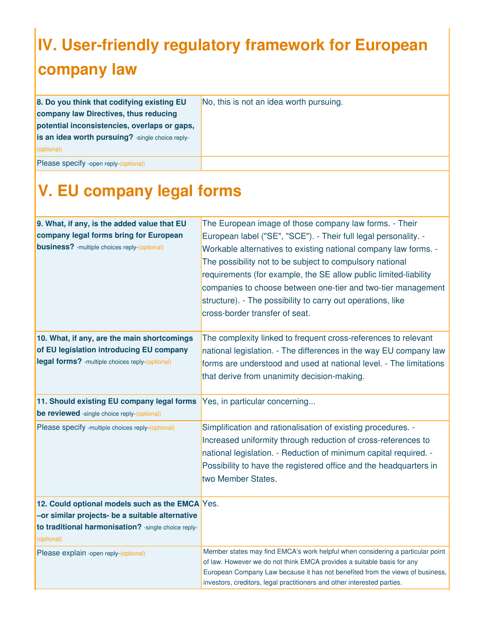# **IV. User-friendly regulatory framework for European company law**

| 8. Do you think that codifying existing EU        | No, this is not an idea worth pursuing. |
|---------------------------------------------------|-----------------------------------------|
| company law Directives, thus reducing             |                                         |
| potential inconsistencies, overlaps or gaps,      |                                         |
| is an idea worth pursuing? - single choice reply- |                                         |
| (optional)                                        |                                         |
| Please specify -open reply-(optional)             |                                         |

### **V. EU company legal forms**

| 9. What, if any, is the added value that EU<br>company legal forms bring for European<br><b>business?</b> -multiple choices reply-(optional)                             | The European image of those company law forms. - Their<br>European label ("SE", "SCE"). - Their full legal personality. -<br>Workable alternatives to existing national company law forms. -<br>The possibility not to be subject to compulsory national<br>requirements (for example, the SE allow public limited-liability<br>companies to choose between one-tier and two-tier management<br>structure). - The possibility to carry out operations, like<br>cross-border transfer of seat. |
|--------------------------------------------------------------------------------------------------------------------------------------------------------------------------|-----------------------------------------------------------------------------------------------------------------------------------------------------------------------------------------------------------------------------------------------------------------------------------------------------------------------------------------------------------------------------------------------------------------------------------------------------------------------------------------------|
| 10. What, if any, are the main shortcomings<br>of EU legislation introducing EU company<br>legal forms? - multiple choices reply-(optional)                              | The complexity linked to frequent cross-references to relevant<br>national legislation. - The differences in the way EU company law<br>forms are understood and used at national level. - The limitations<br>that derive from unanimity decision-making.                                                                                                                                                                                                                                      |
| 11. Should existing EU company legal forms<br>be reviewed -single choice reply-(optional)                                                                                | Yes, in particular concerning                                                                                                                                                                                                                                                                                                                                                                                                                                                                 |
| Please specify -multiple choices reply-(optional)                                                                                                                        | Simplification and rationalisation of existing procedures. -<br>Increased uniformity through reduction of cross-references to<br>national legislation. - Reduction of minimum capital required. -<br>Possibility to have the registered office and the headquarters in<br>two Member States.                                                                                                                                                                                                  |
| 12. Could optional models such as the EMCA Yes.<br>-or similar projects- be a suitable alternative<br>to traditional harmonisation? - single choice reply-<br>(optional) |                                                                                                                                                                                                                                                                                                                                                                                                                                                                                               |
| Please explain -open reply-(optional)                                                                                                                                    | Member states may find EMCA's work helpful when considering a particular point<br>of law. However we do not think EMCA provides a suitable basis for any<br>European Company Law because it has not benefited from the views of business,<br>investors, creditors, legal practitioners and other interested parties.                                                                                                                                                                          |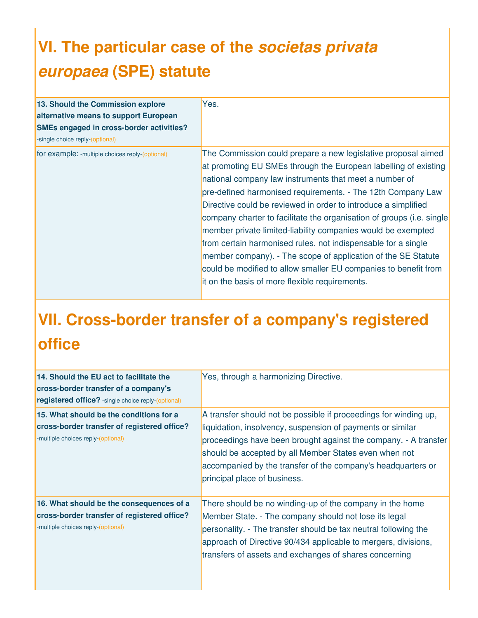# **VI. The particular case of the** *societas privata europaea* **(SPE) statute**

| 13. Should the Commission explore<br>alternative means to support European<br>SMEs engaged in cross-border activities?<br>-single choice reply-(optional) | Yes.                                                                                                                                                                                                                                                                                                                                                                                                                                                                                                                                                                                                                                                                                                                        |
|-----------------------------------------------------------------------------------------------------------------------------------------------------------|-----------------------------------------------------------------------------------------------------------------------------------------------------------------------------------------------------------------------------------------------------------------------------------------------------------------------------------------------------------------------------------------------------------------------------------------------------------------------------------------------------------------------------------------------------------------------------------------------------------------------------------------------------------------------------------------------------------------------------|
| for example: - multiple choices reply-(optional)                                                                                                          | The Commission could prepare a new legislative proposal aimed<br>at promoting EU SMEs through the European labelling of existing<br>national company law instruments that meet a number of<br>pre-defined harmonised requirements. - The 12th Company Law<br>Directive could be reviewed in order to introduce a simplified<br>company charter to facilitate the organisation of groups (i.e. single<br>member private limited-liability companies would be exempted<br>from certain harmonised rules, not indispensable for a single<br>member company). - The scope of application of the SE Statute<br>could be modified to allow smaller EU companies to benefit from<br>it on the basis of more flexible requirements. |

# **VII. Cross-border transfer of a company's registered office**

| 14. Should the EU act to facilitate the<br>cross-border transfer of a company's<br>registered office? - single choice reply-(optional) | Yes, through a harmonizing Directive.                                                                                                                                                                                                                                                                                                                      |
|----------------------------------------------------------------------------------------------------------------------------------------|------------------------------------------------------------------------------------------------------------------------------------------------------------------------------------------------------------------------------------------------------------------------------------------------------------------------------------------------------------|
| 15. What should be the conditions for a<br>cross-border transfer of registered office?<br>-multiple choices reply-(optional)           | A transfer should not be possible if proceedings for winding up,<br>liquidation, insolvency, suspension of payments or similar<br>proceedings have been brought against the company. - A transfer<br>should be accepted by all Member States even when not<br>accompanied by the transfer of the company's headquarters or<br>principal place of business. |
| 16. What should be the consequences of a<br>cross-border transfer of registered office?<br>-multiple choices reply-(optional)          | There should be no winding-up of the company in the home<br>Member State. - The company should not lose its legal<br>personality. - The transfer should be tax neutral following the<br>approach of Directive 90/434 applicable to mergers, divisions,<br>transfers of assets and exchanges of shares concerning                                           |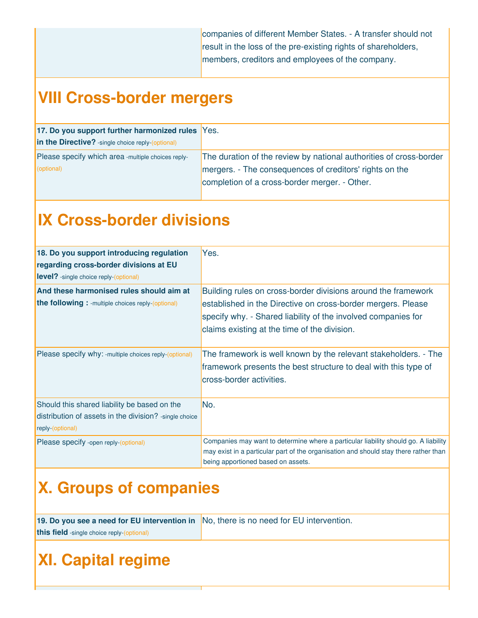companies of different Member States. - A transfer should not result in the loss of the pre-existing rights of shareholders, members, creditors and employees of the company.

#### **VIII Cross-border mergers**

| 17. Do you support further harmonized rules Yes.   |                                                                    |
|----------------------------------------------------|--------------------------------------------------------------------|
| in the Directive? - single choice reply-(optional) |                                                                    |
| Please specify which area -multiple choices reply- | The duration of the review by national authorities of cross-border |
| (optional)                                         | mergers. - The consequences of creditors' rights on the            |
|                                                    | completion of a cross-border merger. - Other.                      |
|                                                    |                                                                    |

#### **IX Cross-border divisions**

| 18. Do you support introducing regulation<br>regarding cross-border divisions at EU<br><b>level?</b> -single choice reply-(optional) | Yes.                                                                                                                                                                                                                                           |
|--------------------------------------------------------------------------------------------------------------------------------------|------------------------------------------------------------------------------------------------------------------------------------------------------------------------------------------------------------------------------------------------|
| And these harmonised rules should aim at<br><b>the following:</b> -multiple choices reply-(optional)                                 | Building rules on cross-border divisions around the framework<br>established in the Directive on cross-border mergers. Please<br>specify why. - Shared liability of the involved companies for<br>claims existing at the time of the division. |
| Please specify why: -multiple choices reply-(optional)                                                                               | The framework is well known by the relevant stakeholders. - The<br>framework presents the best structure to deal with this type of<br>cross-border activities.                                                                                 |
| Should this shared liability be based on the<br>distribution of assets in the division? - single choice<br>reply-(optional)          | No.                                                                                                                                                                                                                                            |
| Please specify -open reply-(optional)                                                                                                | Companies may want to determine where a particular liability should go. A liability<br>may exist in a particular part of the organisation and should stay there rather than<br>being apportioned based on assets.                              |

# **X. Groups of companies**

| 19. Do you see a need for EU intervention in No, there is no need for EU intervention. |  |
|----------------------------------------------------------------------------------------|--|
| this field -single choice reply-(optional)                                             |  |

#### **XI. Capital regime**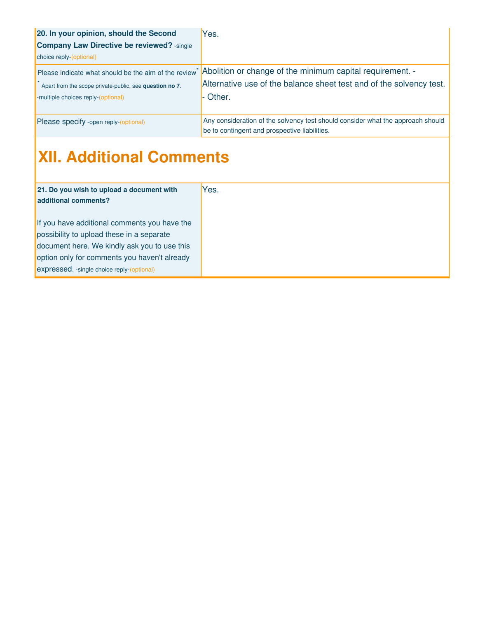| 20. In your opinion, should the Second                  | Yes.                                                                            |
|---------------------------------------------------------|---------------------------------------------------------------------------------|
| <b>Company Law Directive be reviewed?</b> -single       |                                                                                 |
| choice reply-(optional)                                 |                                                                                 |
| Please indicate what should be the aim of the review    | Abolition or change of the minimum capital requirement. -                       |
| Apart from the scope private-public, see question no 7. | Alternative use of the balance sheet test and of the solvency test.             |
| -multiple choices reply-(optional)                      | ⊦ Other.                                                                        |
|                                                         |                                                                                 |
| Please specify -open reply-(optional)                   | Any consideration of the solvency test should consider what the approach should |
|                                                         | be to contingent and prospective liabilities.                                   |

# **XII. Additional Comments**

| 21. Do you wish to upload a document with<br>additional comments? | Yes. |
|-------------------------------------------------------------------|------|
|                                                                   |      |
| If you have additional comments you have the                      |      |
| possibility to upload these in a separate                         |      |
| document here. We kindly ask you to use this                      |      |
| option only for comments you haven't already                      |      |
| expressed. - single choice reply-(optional)                       |      |